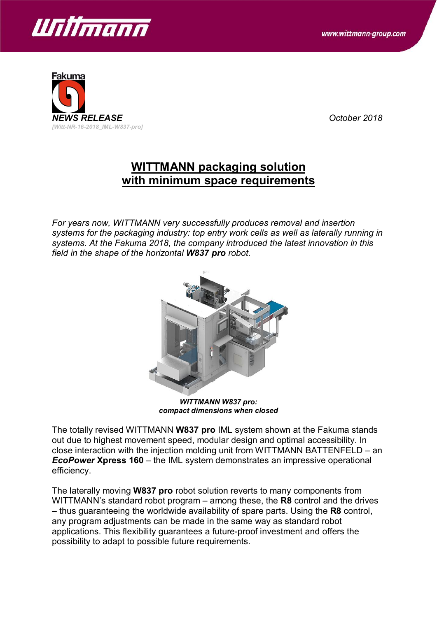



## **WITTMANN packaging solution with minimum space requirements**

*For years now, WITTMANN very successfully produces removal and insertion systems for the packaging industry: top entry work cells as well as laterally running in systems. At the Fakuma 2018, the company introduced the latest innovation in this field in the shape of the horizontal W837 pro robot.*



*WITTMANN W837 pro: compact dimensions when closed*

The totally revised WITTMANN **W837 pro** IML system shown at the Fakuma stands out due to highest movement speed, modular design and optimal accessibility. In close interaction with the injection molding unit from WITTMANN BATTENFELD – an *EcoPower* **Xpress 160** – the IML system demonstrates an impressive operational efficiency.

The laterally moving **W837 pro** robot solution reverts to many components from WITTMANN's standard robot program – among these, the **R8** control and the drives – thus guaranteeing the worldwide availability of spare parts. Using the **R8** control, any program adjustments can be made in the same way as standard robot applications. This flexibility guarantees a future-proof investment and offers the possibility to adapt to possible future requirements.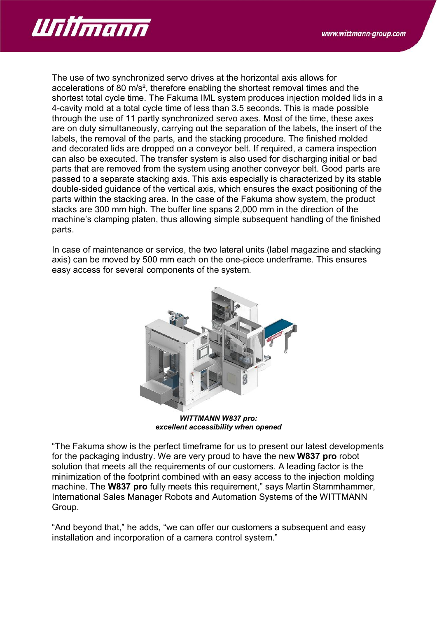

The use of two synchronized servo drives at the horizontal axis allows for accelerations of 80 m/s², therefore enabling the shortest removal times and the shortest total cycle time. The Fakuma IML system produces injection molded lids in a 4-cavity mold at a total cycle time of less than 3.5 seconds. This is made possible through the use of 11 partly synchronized servo axes. Most of the time, these axes are on duty simultaneously, carrying out the separation of the labels, the insert of the labels, the removal of the parts, and the stacking procedure. The finished molded and decorated lids are dropped on a conveyor belt. If required, a camera inspection can also be executed. The transfer system is also used for discharging initial or bad parts that are removed from the system using another conveyor belt. Good parts are passed to a separate stacking axis. This axis especially is characterized by its stable double-sided guidance of the vertical axis, which ensures the exact positioning of the parts within the stacking area. In the case of the Fakuma show system, the product stacks are 300 mm high. The buffer line spans 2,000 mm in the direction of the machine's clamping platen, thus allowing simple subsequent handling of the finished parts.

In case of maintenance or service, the two lateral units (label magazine and stacking axis) can be moved by 500 mm each on the one-piece underframe. This ensures easy access for several components of the system.



*WITTMANN W837 pro: excellent accessibility when opened*

"The Fakuma show is the perfect timeframe for us to present our latest developments for the packaging industry. We are very proud to have the new **W837 pro** robot solution that meets all the requirements of our customers. A leading factor is the minimization of the footprint combined with an easy access to the injection molding machine. The **W837 pro** fully meets this requirement," says Martin Stammhammer, International Sales Manager Robots and Automation Systems of the WITTMANN Group.

"And beyond that," he adds, "we can offer our customers a subsequent and easy installation and incorporation of a camera control system."